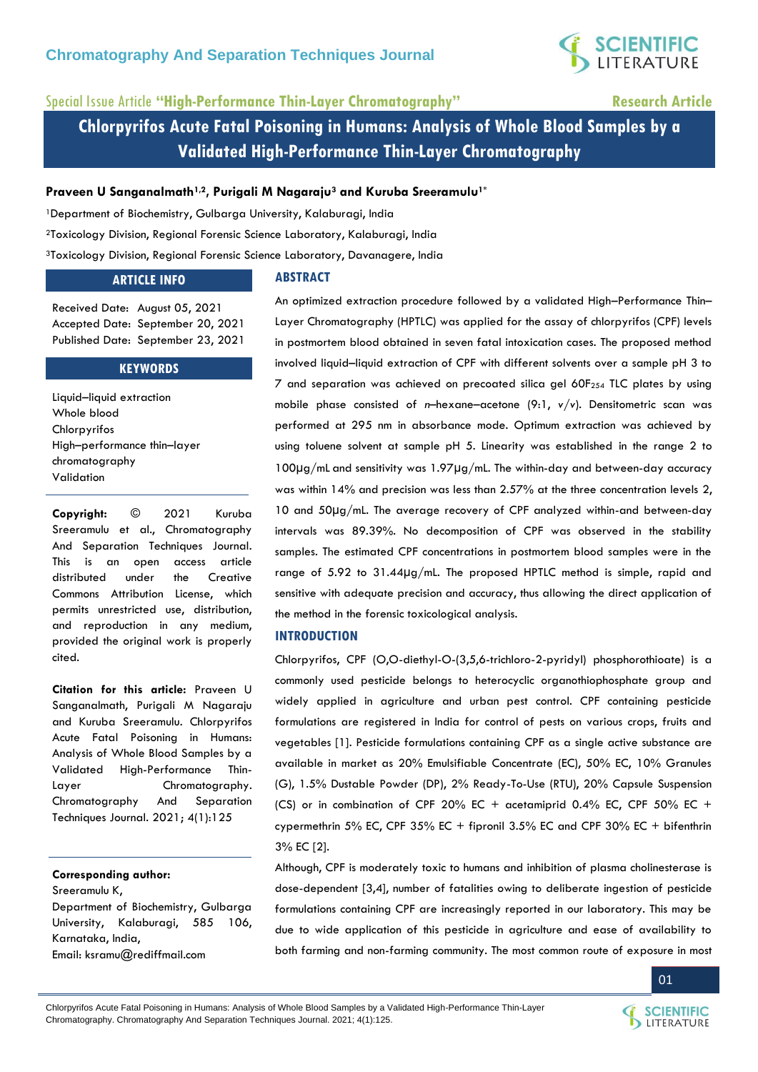

# Special Issue Article **"High-Performance Thin-Layer Chromatography" Research Article**

**Chlorpyrifos Acute Fatal Poisoning in Humans: Analysis of Whole Blood Samples by a Validated High-Performance Thin-Layer Chromatography**

### **Praveen U Sanganalmath1,2, Purigali M Nagaraju<sup>3</sup> and Kuruba Sreeramulu1\***

<sup>1</sup>Department of Biochemistry, Gulbarga University, Kalaburagi, India

<sup>2</sup>Toxicology Division, Regional Forensic Science Laboratory, Kalaburagi, India

<sup>3</sup>Toxicology Division, Regional Forensic Science Laboratory, Davanagere, India

### **ARTICLE INFO**

#### **ABSTRACT**

Received Date: August 05, 2021 Accepted Date: September 20, 2021 Published Date: September 23, 2021

#### **KEYWORDS**

Liquid–liquid extraction Whole blood Chlorpyrifos High–performance thin–layer chromatography Validation

**Copyright:** © 2021 Kuruba Sreeramulu et al., Chromatography And Separation Techniques Journal. This is an open access article distributed under the Creative Commons Attribution License, which permits unrestricted use, distribution, and reproduction in any medium, provided the original work is properly cited.

**Citation for this article:** Praveen U Sanganalmath, Purigali M Nagaraju and Kuruba Sreeramulu. Chlorpyrifos Acute Fatal Poisoning in Humans: Analysis of Whole Blood Samples by a Validated High-Performance Thin-Layer Chromatography. Chromatography And Separation Techniques Journal. 2021; 4(1):125

### **Corresponding author:**

Sreeramulu K,

Department of Biochemistry, Gulbarga University, Kalaburagi, 585 106, Karnataka, India, Email: [ksramu@rediffmail.com](mailto:ksramu@rediffmail.com)

An optimized extraction procedure followed by a validated High–Performance Thin– Layer Chromatography (HPTLC) was applied for the assay of chlorpyrifos (CPF) levels in postmortem blood obtained in seven fatal intoxication cases. The proposed method involved liquid–liquid extraction of CPF with different solvents over a sample pH 3 to 7 and separation was achieved on precoated silica gel 60F<sup>254</sup> TLC plates by using mobile phase consisted of *n*–hexane–acetone (9:1, *v/v*). Densitometric scan was performed at 295 nm in absorbance mode. Optimum extraction was achieved by using toluene solvent at sample pH 5. Linearity was established in the range 2 to 100μg/mL and sensitivity was 1.97μg/mL. The within-day and between-day accuracy was within 14% and precision was less than 2.57% at the three concentration levels 2, 10 and 50µg/mL. The average recovery of CPF analyzed within-and between-day intervals was 89.39%. No decomposition of CPF was observed in the stability samples. The estimated CPF concentrations in postmortem blood samples were in the range of 5.92 to 31.44µg/mL. The proposed HPTLC method is simple, rapid and sensitive with adequate precision and accuracy, thus allowing the direct application of the method in the forensic toxicological analysis.

### **INTRODUCTION**

Chlorpyrifos, CPF (O,O-diethyl-O-(3,5,6-trichloro-2-pyridyl) phosphorothioate) is a commonly used pesticide belongs to heterocyclic organothiophosphate group and widely applied in agriculture and urban pest control. CPF containing pesticide formulations are registered in India for control of pests on various crops, fruits and vegetables [1]. Pesticide formulations containing CPF as a single active substance are available in market as 20% Emulsifiable Concentrate (EC), 50% EC, 10% Granules (G), 1.5% Dustable Powder (DP), 2% Ready-To-Use (RTU), 20% Capsule Suspension (CS) or in combination of CPF 20% EC + acetamiprid 0.4% EC, CPF 50% EC + cypermethrin 5% EC, CPF 35% EC + fipronil  $3.5\%$  EC and CPF 30% EC + bifenthrin 3% EC [2].

Although, CPF is moderately toxic to humans and inhibition of plasma cholinesterase is dose-dependent [3,4], number of fatalities owing to deliberate ingestion of pesticide formulations containing CPF are increasingly reported in our laboratory. This may be due to wide application of this pesticide in agriculture and ease of availability to both farming and non-farming community. The most common route of exposure in most

01

Chlorpyrifos Acute Fatal Poisoning in Humans: Analysis of Whole Blood Samples by a Validated High-Performance Thin-Layer Chromatography. Chromatography And Separation Techniques Journal. 2021; 4(1):125.

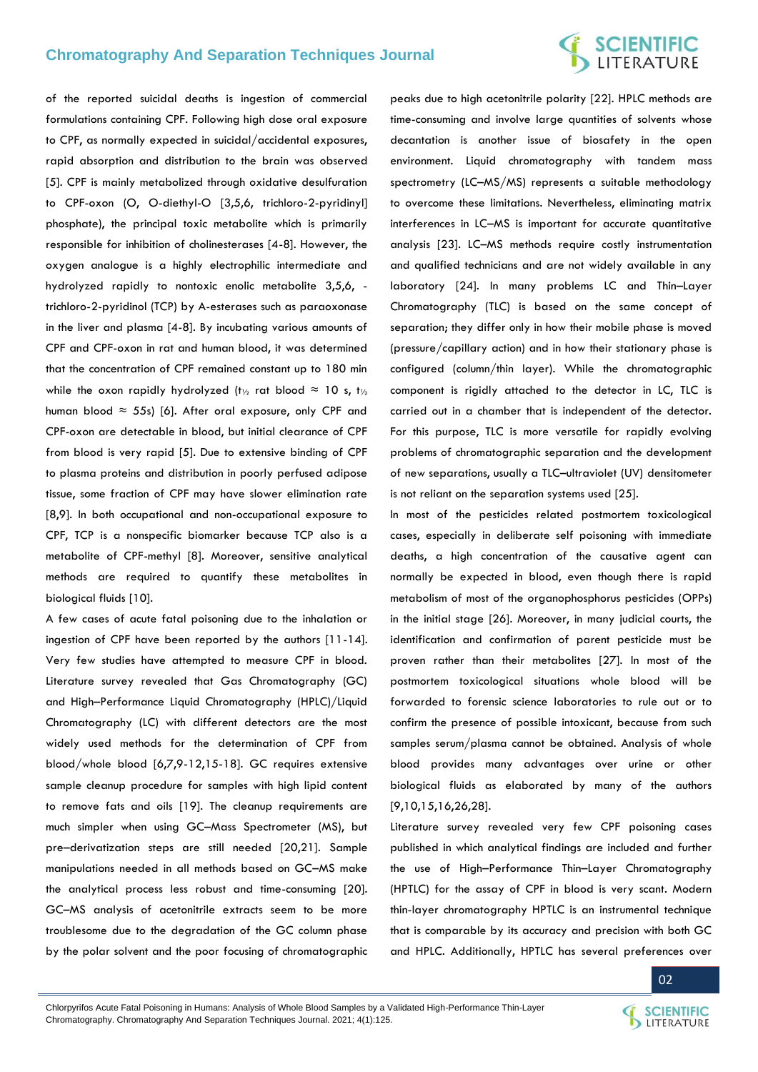# **SCIENTIFIC**<br>LITERATURE

of the reported suicidal deaths is ingestion of commercial formulations containing CPF. Following high dose oral exposure to CPF, as normally expected in suicidal/accidental exposures, rapid absorption and distribution to the brain was observed [5]. CPF is mainly metabolized through oxidative desulfuration to CPF-oxon (O, O-diethyl-O [3,5,6, trichloro-2-pyridinyl] phosphate), the principal toxic metabolite which is primarily responsible for inhibition of cholinesterases [4-8]. However, the oxygen analogue is a highly electrophilic intermediate and hydrolyzed rapidly to nontoxic enolic metabolite 3,5,6, trichloro-2-pyridinol (TCP) by A-esterases such as paraoxonase in the liver and plasma [4-8]. By incubating various amounts of CPF and CPF-oxon in rat and human blood, it was determined that the concentration of CPF remained constant up to 180 min while the oxon rapidly hydrolyzed (t<sub>1/2</sub> rat blood  $\approx$  10 s, t<sub>1/2</sub> human blood  $\approx$  55s) [6]. After oral exposure, only CPF and CPF-oxon are detectable in blood, but initial clearance of CPF from blood is very rapid [5]. Due to extensive binding of CPF to plasma proteins and distribution in poorly perfused adipose tissue, some fraction of CPF may have slower elimination rate [8,9]. In both occupational and non-occupational exposure to CPF, TCP is a nonspecific biomarker because TCP also is a metabolite of CPF-methyl [8]. Moreover, sensitive analytical methods are required to quantify these metabolites in biological fluids [10].

A few cases of acute fatal poisoning due to the inhalation or ingestion of CPF have been reported by the authors [11-14]. Very few studies have attempted to measure CPF in blood. Literature survey revealed that Gas Chromatography (GC) and High–Performance Liquid Chromatography (HPLC)/Liquid Chromatography (LC) with different detectors are the most widely used methods for the determination of CPF from blood/whole blood [6,7,9-12,15-18]. GC requires extensive sample cleanup procedure for samples with high lipid content to remove fats and oils [19]. The cleanup requirements are much simpler when using GC–Mass Spectrometer (MS), but pre–derivatization steps are still needed [20,21]. Sample manipulations needed in all methods based on GC–MS make the analytical process less robust and time-consuming [20]. GC–MS analysis of acetonitrile extracts seem to be more troublesome due to the degradation of the GC column phase by the polar solvent and the poor focusing of chromatographic

peaks due to high acetonitrile polarity [22]. HPLC methods are time-consuming and involve large quantities of solvents whose decantation is another issue of biosafety in the open environment. Liquid chromatography with tandem mass spectrometry (LC–MS/MS) represents a suitable methodology to overcome these limitations. Nevertheless, eliminating matrix interferences in LC–MS is important for accurate quantitative analysis [23]. LC–MS methods require costly instrumentation and qualified technicians and are not widely available in any laboratory [24]. In many problems LC and Thin–Layer Chromatography (TLC) is based on the same concept of separation; they differ only in how their mobile phase is moved (pressure/capillary action) and in how their stationary phase is configured (column/thin layer). While the chromatographic component is rigidly attached to the detector in LC, TLC is carried out in a chamber that is independent of the detector. For this purpose, TLC is more versatile for rapidly evolving problems of chromatographic separation and the development of new separations, usually a TLC–ultraviolet (UV) densitometer is not reliant on the separation systems used [25].

In most of the pesticides related postmortem toxicological cases, especially in deliberate self poisoning with immediate deaths, a high concentration of the causative agent can normally be expected in blood, even though there is rapid metabolism of most of the organophosphorus pesticides (OPPs) in the initial stage [26]. Moreover, in many judicial courts, the identification and confirmation of parent pesticide must be proven rather than their metabolites [27]. In most of the postmortem toxicological situations whole blood will be forwarded to forensic science laboratories to rule out or to confirm the presence of possible intoxicant, because from such samples serum/plasma cannot be obtained. Analysis of whole blood provides many advantages over urine or other biological fluids as elaborated by many of the authors [9,10,15,16,26,28].

Literature survey revealed very few CPF poisoning cases published in which analytical findings are included and further the use of High–Performance Thin–Layer Chromatography (HPTLC) for the assay of CPF in blood is very scant. Modern thin-layer chromatography HPTLC is an instrumental technique that is comparable by its accuracy and precision with both GC and HPLC. Additionally, HPTLC has several preferences over

02

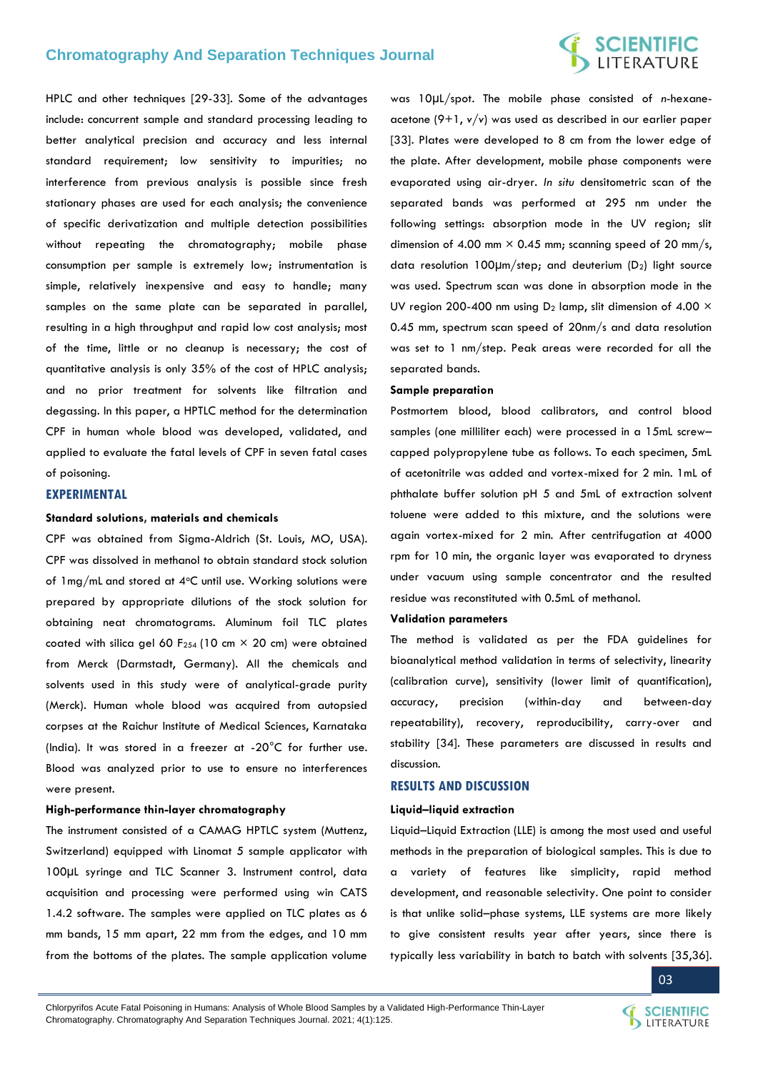# **SCIENTIFIC**<br>LITERATURE

HPLC and other techniques [29-33]. Some of the advantages include: concurrent sample and standard processing leading to better analytical precision and accuracy and less internal standard requirement; low sensitivity to impurities; no interference from previous analysis is possible since fresh stationary phases are used for each analysis; the convenience of specific derivatization and multiple detection possibilities without repeating the chromatography; mobile phase consumption per sample is extremely low; instrumentation is simple, relatively inexpensive and easy to handle; many samples on the same plate can be separated in parallel, resulting in a high throughput and rapid low cost analysis; most of the time, little or no cleanup is necessary; the cost of quantitative analysis is only 35% of the cost of HPLC analysis; and no prior treatment for solvents like filtration and degassing. In this paper, a HPTLC method for the determination CPF in human whole blood was developed, validated, and applied to evaluate the fatal levels of CPF in seven fatal cases of poisoning.

### **EXPERIMENTAL**

#### **Standard solutions, materials and chemicals**

CPF was obtained from Sigma-Aldrich (St. Louis, MO, USA). CPF was dissolved in methanol to obtain standard stock solution of  $1 \text{mg/ml}$  and stored at  $4 \text{°C}$  until use. Working solutions were prepared by appropriate dilutions of the stock solution for obtaining neat chromatograms. Aluminum foil TLC plates coated with silica gel 60 F<sub>254</sub> (10 cm  $\times$  20 cm) were obtained from Merck (Darmstadt, Germany). All the chemicals and solvents used in this study were of analytical-grade purity (Merck). Human whole blood was acquired from autopsied corpses at the Raichur Institute of Medical Sciences, Karnataka (India). It was stored in a freezer at -20°C for further use. Blood was analyzed prior to use to ensure no interferences were present.

#### **High-performance thin-layer chromatography**

The instrument consisted of a CAMAG HPTLC system (Muttenz, Switzerland) equipped with Linomat 5 sample applicator with 100µL syringe and TLC Scanner 3. Instrument control, data acquisition and processing were performed using win CATS 1.4.2 software. The samples were applied on TLC plates as 6 mm bands, 15 mm apart, 22 mm from the edges, and 10 mm from the bottoms of the plates. The sample application volume

was 10µL/spot. The mobile phase consisted of *n*-hexaneacetone (9+1, *v/v*) was used as described in our earlier paper [33]. Plates were developed to 8 cm from the lower edge of the plate. After development, mobile phase components were evaporated using air-dryer. *In situ* densitometric scan of the separated bands was performed at 295 nm under the following settings: absorption mode in the UV region; slit dimension of 4.00 mm  $\times$  0.45 mm; scanning speed of 20 mm/s, data resolution 100µm/step; and deuterium (D2) light source was used. Spectrum scan was done in absorption mode in the UV region 200-400 nm using  $D_2$  lamp, slit dimension of 4.00  $\times$ 0.45 mm, spectrum scan speed of 20nm/s and data resolution was set to 1 nm/step. Peak areas were recorded for all the separated bands.

#### **Sample preparation**

Postmortem blood, blood calibrators, and control blood samples (one milliliter each) were processed in a 15mL screw– capped polypropylene tube as follows. To each specimen, 5mL of acetonitrile was added and vortex-mixed for 2 min. 1mL of phthalate buffer solution pH 5 and 5mL of extraction solvent toluene were added to this mixture, and the solutions were again vortex-mixed for 2 min. After centrifugation at 4000 rpm for 10 min, the organic layer was evaporated to dryness under vacuum using sample concentrator and the resulted residue was reconstituted with 0.5mL of methanol.

#### **Validation parameters**

The method is validated as per the FDA guidelines for bioanalytical method validation in terms of selectivity, linearity (calibration curve), sensitivity (lower limit of quantification), accuracy, precision (within-day and between-day repeatability), recovery, reproducibility, carry-over and stability [34]. These parameters are discussed in results and discussion.

#### **RESULTS AND DISCUSSION**

#### **Liquid–liquid extraction**

Liquid–Liquid Extraction (LLE) is among the most used and useful methods in the preparation of biological samples. This is due to a variety of features like simplicity, rapid method development, and reasonable selectivity. One point to consider is that unlike solid–phase systems, LLE systems are more likely to give consistent results year after years, since there is typically less variability in batch to batch with solvents [35,36].

03

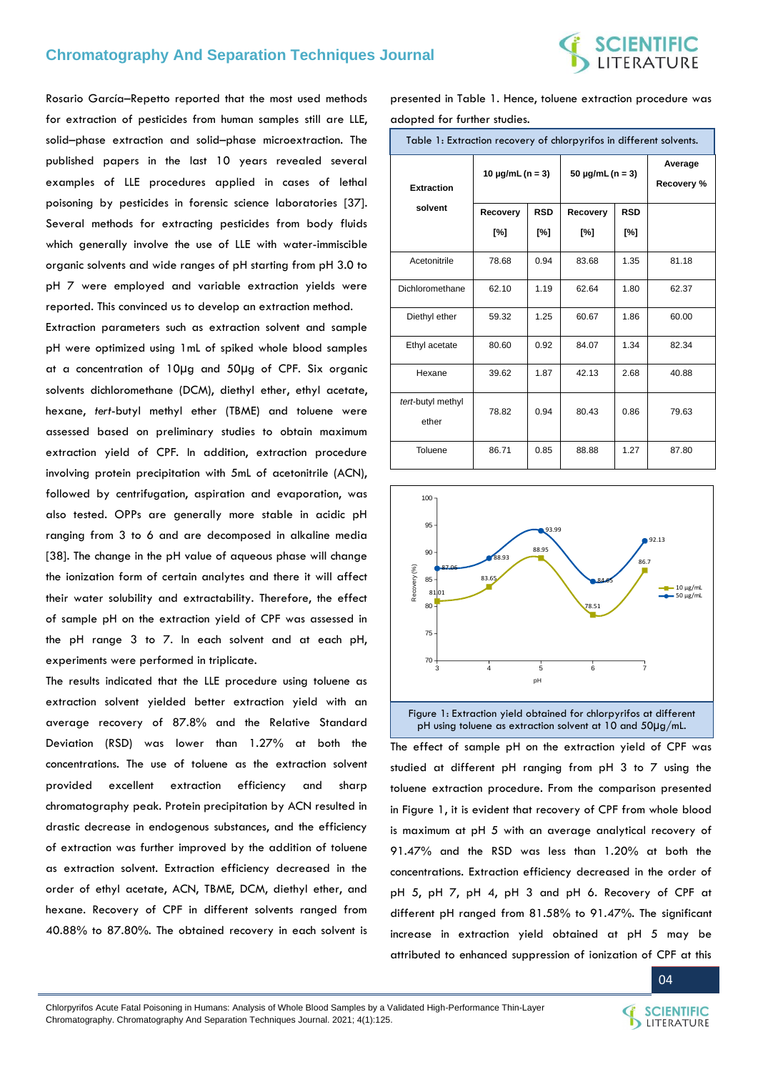

Rosario García–Repetto reported that the most used methods for extraction of pesticides from human samples still are LLE, solid–phase extraction and solid–phase microextraction. The published papers in the last 10 years revealed several examples of LLE procedures applied in cases of lethal poisoning by pesticides in forensic science laboratories [37]. Several methods for extracting pesticides from body fluids which generally involve the use of LLE with water-immiscible organic solvents and wide ranges of pH starting from pH 3.0 to pH 7 were employed and variable extraction yields were reported. This convinced us to develop an extraction method.

Extraction parameters such as extraction solvent and sample pH were optimized using 1mL of spiked whole blood samples at a concentration of 10µg and 50µg of CPF. Six organic solvents dichloromethane (DCM), diethyl ether, ethyl acetate, hexane, *tert*-butyl methyl ether (TBME) and toluene were assessed based on preliminary studies to obtain maximum extraction yield of CPF. In addition, extraction procedure involving protein precipitation with 5mL of acetonitrile (ACN), followed by centrifugation, aspiration and evaporation, was also tested. OPPs are generally more stable in acidic pH ranging from 3 to 6 and are decomposed in alkaline media [38]. The change in the pH value of aqueous phase will change the ionization form of certain analytes and there it will affect their water solubility and extractability. Therefore, the effect of sample pH on the extraction yield of CPF was assessed in the pH range 3 to 7. In each solvent and at each pH, experiments were performed in triplicate.

The results indicated that the LLE procedure using toluene as extraction solvent yielded better extraction yield with an average recovery of 87.8% and the Relative Standard Deviation (RSD) was lower than 1.27% at both the concentrations. The use of toluene as the extraction solvent provided excellent extraction efficiency and sharp chromatography peak. Protein precipitation by ACN resulted in drastic decrease in endogenous substances, and the efficiency of extraction was further improved by the addition of toluene as extraction solvent. Extraction efficiency decreased in the order of ethyl acetate, ACN, TBME, DCM, diethyl ether, and hexane. Recovery of CPF in different solvents ranged from 40.88% to 87.80%. The obtained recovery in each solvent is presented in Table 1. Hence, toluene extraction procedure was adopted for further studies.

| Table 1: Extraction recovery of chlorpyrifos in different solvents. |                       |            |                       |                       |       |  |  |  |  |
|---------------------------------------------------------------------|-----------------------|------------|-----------------------|-----------------------|-------|--|--|--|--|
| <b>Extraction</b>                                                   | 10 $\mu$ g/mL (n = 3) |            | 50 $\mu$ g/mL (n = 3) | Average<br>Recovery % |       |  |  |  |  |
| solvent                                                             | Recovery              | <b>RSD</b> | Recovery              | <b>RSD</b>            |       |  |  |  |  |
|                                                                     | [%]                   | [%]        | [%]                   | [%]                   |       |  |  |  |  |
| Acetonitrile                                                        | 78.68                 | 0.94       | 83.68                 | 1.35                  | 81.18 |  |  |  |  |
| Dichloromethane                                                     | 62.10                 | 1.19       | 62.64                 | 1.80                  | 62.37 |  |  |  |  |
| Diethyl ether                                                       | 59.32                 | 1.25       | 60.67                 | 1.86                  | 60.00 |  |  |  |  |
| Ethyl acetate                                                       | 80.60                 | 0.92       | 84.07                 | 1.34                  | 82.34 |  |  |  |  |
| Hexane                                                              | 39.62                 | 1.87       | 42.13                 | 2.68                  | 40.88 |  |  |  |  |
| tert-butyl methyl<br>ether                                          | 78.82                 | 0.94       | 80.43                 | 0.86                  | 79.63 |  |  |  |  |
| Toluene                                                             | 86.71                 | 0.85       | 88.88                 | 1.27                  | 87.80 |  |  |  |  |



Figure 1: Extraction yield obtained for chlorpyrifos at different pH using toluene as extraction solvent at 10 and 50µg/mL.

The effect of sample pH on the extraction yield of CPF was studied at different pH ranging from pH 3 to 7 using the toluene extraction procedure. From the comparison presented in Figure 1, it is evident that recovery of CPF from whole blood is maximum at pH 5 with an average analytical recovery of 91.47% and the RSD was less than 1.20% at both the concentrations. Extraction efficiency decreased in the order of pH 5, pH 7, pH 4, pH 3 and pH 6. Recovery of CPF at different pH ranged from 81.58% to 91.47%. The significant increase in extraction yield obtained at pH 5 may be attributed to enhanced suppression of ionization of CPF at this

Chlorpyrifos Acute Fatal Poisoning in Humans: Analysis of Whole Blood Samples by a Validated High-Performance Thin-Layer Chromatography. Chromatography And Separation Techniques Journal. 2021; 4(1):125.



LITERATURE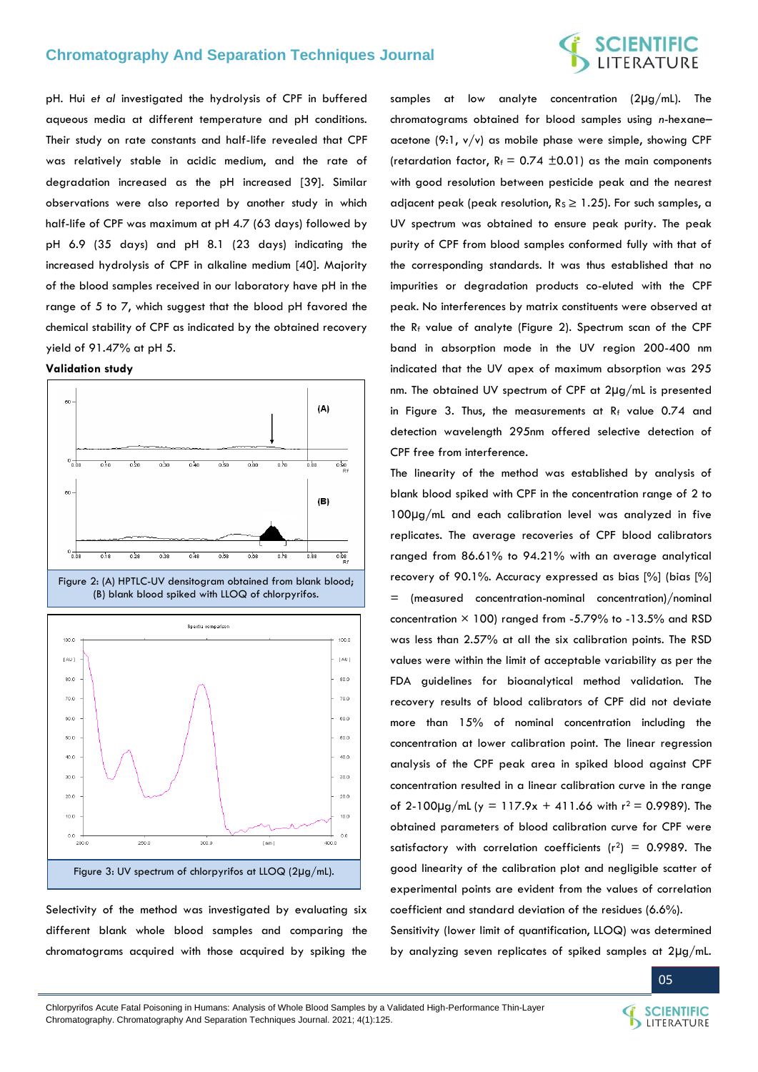pH. Hui *et al* investigated the hydrolysis of CPF in buffered aqueous media at different temperature and pH conditions. Their study on rate constants and half-life revealed that CPF was relatively stable in acidic medium, and the rate of degradation increased as the pH increased [39]. Similar observations were also reported by another study in which half-life of CPF was maximum at pH 4.7 (63 days) followed by pH 6.9 (35 days) and pH 8.1 (23 days) indicating the increased hydrolysis of CPF in alkaline medium [40]. Majority of the blood samples received in our laboratory have pH in the range of 5 to 7, which suggest that the blood pH favored the chemical stability of CPF as indicated by the obtained recovery yield of 91.47% at pH 5.







Selectivity of the method was investigated by evaluating six different blank whole blood samples and comparing the chromatograms acquired with those acquired by spiking the

samples at low analyte concentration (2µg/mL). The chromatograms obtained for blood samples using *n*-hexane– acetone  $(9:1, v/v)$  as mobile phase were simple, showing CPF (retardation factor,  $R_f = 0.74 \pm 0.01$ ) as the main components with good resolution between pesticide peak and the nearest adjacent peak (peak resolution,  $R_s \ge 1.25$ ). For such samples, a UV spectrum was obtained to ensure peak purity. The peak purity of CPF from blood samples conformed fully with that of the corresponding standards. It was thus established that no impurities or degradation products co-eluted with the CPF peak. No interferences by matrix constituents were observed at the  $R_f$  value of analyte (Figure 2). Spectrum scan of the CPF band in absorption mode in the UV region 200-400 nm indicated that the UV apex of maximum absorption was 295 nm. The obtained UV spectrum of CPF at 2µg/mL is presented in Figure 3. Thus, the measurements at  $R_f$  value 0.74 and detection wavelength 295nm offered selective detection of CPF free from interference.

The linearity of the method was established by analysis of blank blood spiked with CPF in the concentration range of 2 to 100µg/mL and each calibration level was analyzed in five replicates. The average recoveries of CPF blood calibrators ranged from 86.61% to 94.21% with an average analytical recovery of 90.1%. Accuracy expressed as bias [%] (bias [%] = (measured concentration-nominal concentration)/nominal concentration  $\times$  100) ranged from -5.79% to -13.5% and RSD was less than 2.57% at all the six calibration points. The RSD values were within the limit of acceptable variability as per the FDA guidelines for bioanalytical method validation. The recovery results of blood calibrators of CPF did not deviate more than 15% of nominal concentration including the concentration at lower calibration point. The linear regression analysis of the CPF peak area in spiked blood against CPF concentration resulted in a linear calibration curve in the range of 2-100 $\mu$ g/mL (y = 117.9x + 411.66 with  $r^2$  = 0.9989). The obtained parameters of blood calibration curve for CPF were satisfactory with correlation coefficients ( $r^2$ ) = 0.9989. The good linearity of the calibration plot and negligible scatter of experimental points are evident from the values of correlation coefficient and standard deviation of the residues (6.6%).

Sensitivity (lower limit of quantification, LLOQ) was determined by analyzing seven replicates of spiked samples at 2µg/mL.



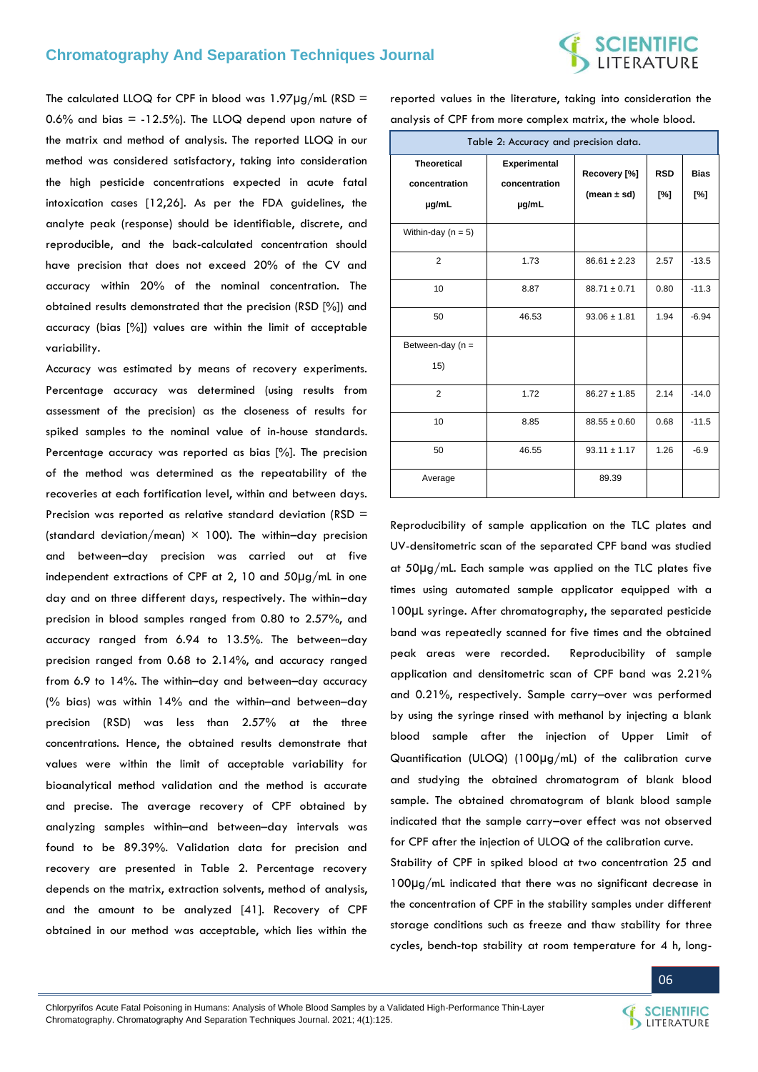# **SCIENTIFIC**<br>LITERATURE

The calculated LLOQ for CPF in blood was  $1.97 \mu g/mL$  (RSD = 0.6% and bias  $= -12.5\%$ ). The LLOQ depend upon nature of the matrix and method of analysis. The reported LLOQ in our method was considered satisfactory, taking into consideration the high pesticide concentrations expected in acute fatal intoxication cases [12,26]. As per the FDA guidelines, the analyte peak (response) should be identifiable, discrete, and reproducible, and the back-calculated concentration should have precision that does not exceed 20% of the CV and accuracy within 20% of the nominal concentration. The obtained results demonstrated that the precision (RSD [%]) and accuracy (bias [%]) values are within the limit of acceptable variability.

Accuracy was estimated by means of recovery experiments. Percentage accuracy was determined (using results from assessment of the precision) as the closeness of results for spiked samples to the nominal value of in-house standards. Percentage accuracy was reported as bias [%]. The precision of the method was determined as the repeatability of the recoveries at each fortification level, within and between days. Precision was reported as relative standard deviation (RSD = (standard deviation/mean)  $\times$  100). The within-day precision and between–day precision was carried out at five independent extractions of CPF at 2, 10 and 50µg/mL in one day and on three different days, respectively. The within–day precision in blood samples ranged from 0.80 to 2.57%, and accuracy ranged from 6.94 to 13.5%. The between–day precision ranged from 0.68 to 2.14%, and accuracy ranged from 6.9 to 14%. The within–day and between–day accuracy (% bias) was within 14% and the within–and between–day precision (RSD) was less than 2.57% at the three concentrations. Hence, the obtained results demonstrate that values were within the limit of acceptable variability for bioanalytical method validation and the method is accurate and precise. The average recovery of CPF obtained by analyzing samples within–and between–day intervals was found to be 89.39%. Validation data for precision and recovery are presented in Table 2. Percentage recovery depends on the matrix, extraction solvents, method of analysis, and the amount to be analyzed [41]. Recovery of CPF obtained in our method was acceptable, which lies within the reported values in the literature, taking into consideration the analysis of CPF from more complex matrix, the whole blood.

| Table 2: Accuracy and precision data.        |                                        |                                 |                   |                    |  |  |  |  |
|----------------------------------------------|----------------------------------------|---------------------------------|-------------------|--------------------|--|--|--|--|
| <b>Theoretical</b><br>concentration<br>µg/mL | Experimental<br>concentration<br>µg/mL | Recovery [%]<br>(mean $\pm$ sd) | <b>RSD</b><br>[%] | <b>Bias</b><br>[%] |  |  |  |  |
| Within-day $(n = 5)$                         |                                        |                                 |                   |                    |  |  |  |  |
| $\overline{2}$                               | 1.73                                   | $86.61 \pm 2.23$                | 2.57              | $-13.5$            |  |  |  |  |
| 10                                           | 8.87                                   | $88.71 \pm 0.71$                | 0.80              | $-11.3$            |  |  |  |  |
| 50                                           | 46.53                                  | $93.06 \pm 1.81$                | 1.94              | $-6.94$            |  |  |  |  |
| Between-day (n =                             |                                        |                                 |                   |                    |  |  |  |  |
| 15)                                          |                                        |                                 |                   |                    |  |  |  |  |
| $\overline{2}$                               | 1.72                                   | $86.27 \pm 1.85$                | 2.14              | $-14.0$            |  |  |  |  |
| 10                                           | 8.85                                   | $88.55 \pm 0.60$                | 0.68              | $-11.5$            |  |  |  |  |
| 50<br>46.55                                  |                                        | $93.11 \pm 1.17$                | 1.26              | $-6.9$             |  |  |  |  |
| Average                                      |                                        | 89.39                           |                   |                    |  |  |  |  |

Reproducibility of sample application on the TLC plates and UV-densitometric scan of the separated CPF band was studied at 50μg/mL. Each sample was applied on the TLC plates five times using automated sample applicator equipped with a 100μL syringe. After chromatography, the separated pesticide band was repeatedly scanned for five times and the obtained peak areas were recorded. Reproducibility of sample application and densitometric scan of CPF band was 2.21% and 0.21%, respectively. Sample carry–over was performed by using the syringe rinsed with methanol by injecting a blank blood sample after the injection of Upper Limit of Quantification (ULOQ) (100μg/mL) of the calibration curve and studying the obtained chromatogram of blank blood sample. The obtained chromatogram of blank blood sample indicated that the sample carry–over effect was not observed for CPF after the injection of ULOQ of the calibration curve.

Stability of CPF in spiked blood at two concentration 25 and 100µg/mL indicated that there was no significant decrease in the concentration of CPF in the stability samples under different storage conditions such as freeze and thaw stability for three cycles, bench-top stability at room temperature for 4 h, long-

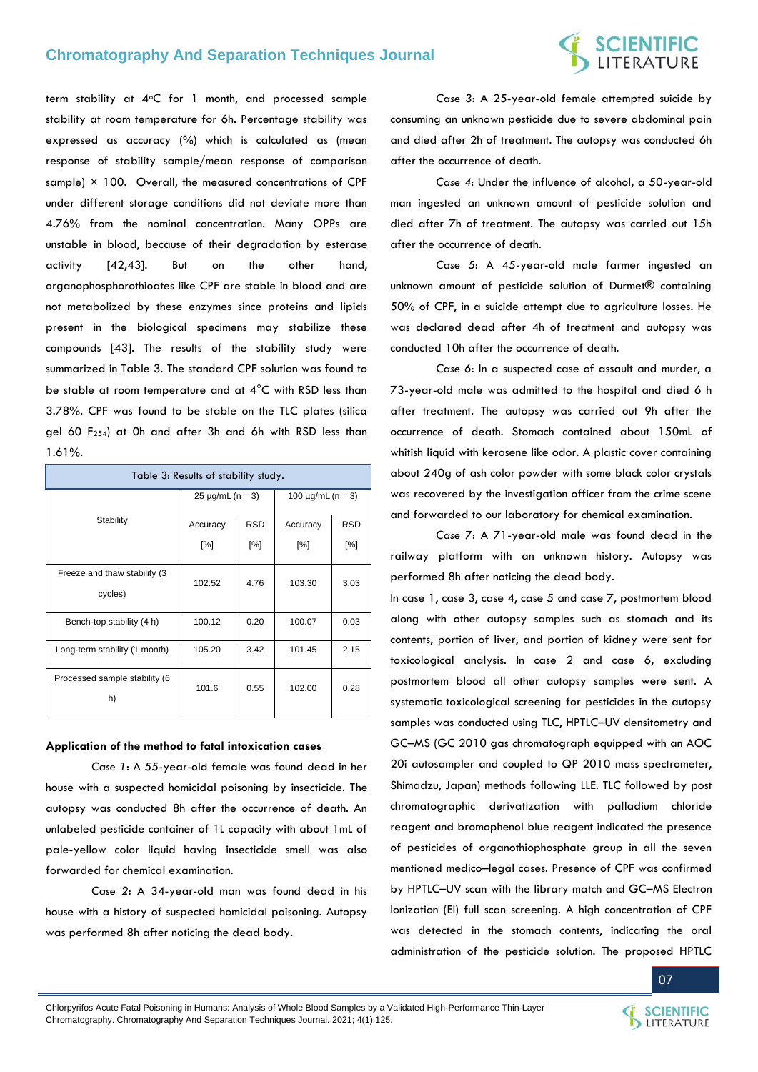# **SCIENTIFIC**<br>LITERATURE

term stability at 4°C for 1 month, and processed sample stability at room temperature for 6h. Percentage stability was expressed as accuracy (%) which is calculated as (mean response of stability sample/mean response of comparison sample)  $\times$  100. Overall, the measured concentrations of CPF under different storage conditions did not deviate more than 4.76% from the nominal concentration. Many OPPs are unstable in blood, because of their degradation by esterase activity [42,43]. But on the other hand, organophosphorothioates like CPF are stable in blood and are not metabolized by these enzymes since proteins and lipids present in the biological specimens may stabilize these compounds [43]. The results of the stability study were summarized in Table 3. The standard CPF solution was found to be stable at room temperature and at 4°C with RSD less than 3.78%. CPF was found to be stable on the TLC plates (silica gel 60 F254) at 0h and after 3h and 6h with RSD less than 1.61%.

| Table 3: Results of stability study.     |                       |            |                        |            |  |  |  |
|------------------------------------------|-----------------------|------------|------------------------|------------|--|--|--|
|                                          | $25 \mu g/mL (n = 3)$ |            | 100 $\mu$ g/mL (n = 3) |            |  |  |  |
| Stability                                | Accuracy              | <b>RSD</b> | Accuracy               | <b>RSD</b> |  |  |  |
|                                          | [%]                   | [%]        | [%]                    | [%]        |  |  |  |
| Freeze and thaw stability (3)<br>cycles) | 102.52                | 4.76       | 103.30                 | 3.03       |  |  |  |
| Bench-top stability (4 h)                | 100.12                | 0.20       | 100.07                 | 0.03       |  |  |  |
| Long-term stability (1 month)            | 105.20                | 3.42       | 101.45                 | 2.15       |  |  |  |
| Processed sample stability (6<br>h)      | 101.6                 | 0.55       | 102.00                 | 0.28       |  |  |  |

#### **Application of the method to fatal intoxication cases**

*Case 1*: A 55-year-old female was found dead in her house with a suspected homicidal poisoning by insecticide. The autopsy was conducted 8h after the occurrence of death. An unlabeled pesticide container of 1L capacity with about 1mL of pale-yellow color liquid having insecticide smell was also forwarded for chemical examination.

*Case 2*: A 34-year-old man was found dead in his house with a history of suspected homicidal poisoning. Autopsy was performed 8h after noticing the dead body.

*Case 3*: A 25-year-old female attempted suicide by consuming an unknown pesticide due to severe abdominal pain and died after 2h of treatment. The autopsy was conducted 6h after the occurrence of death.

*Case 4*: Under the influence of alcohol, a 50-year-old man ingested an unknown amount of pesticide solution and died after 7h of treatment. The autopsy was carried out 15h after the occurrence of death.

*Case 5*: A 45-year-old male farmer ingested an unknown amount of pesticide solution of Durmet® containing 50% of CPF, in a suicide attempt due to agriculture losses. He was declared dead after 4h of treatment and autopsy was conducted 10h after the occurrence of death.

*Case 6*: In a suspected case of assault and murder, a 73-year-old male was admitted to the hospital and died 6 h after treatment. The autopsy was carried out 9h after the occurrence of death. Stomach contained about 150mL of whitish liquid with kerosene like odor. A plastic cover containing about 240g of ash color powder with some black color crystals was recovered by the investigation officer from the crime scene and forwarded to our laboratory for chemical examination.

*Case 7*: A 71-year-old male was found dead in the railway platform with an unknown history. Autopsy was performed 8h after noticing the dead body.

In case 1, case 3, case 4, case 5 and case 7, postmortem blood along with other autopsy samples such as stomach and its contents, portion of liver, and portion of kidney were sent for toxicological analysis. In case 2 and case 6, excluding postmortem blood all other autopsy samples were sent. A systematic toxicological screening for pesticides in the autopsy samples was conducted using TLC, HPTLC–UV densitometry and GC–MS (GC 2010 gas chromatograph equipped with an AOC 20i autosampler and coupled to QP 2010 mass spectrometer, Shimadzu, Japan) methods following LLE. TLC followed by post chromatographic derivatization with palladium chloride reagent and bromophenol blue reagent indicated the presence of pesticides of organothiophosphate group in all the seven mentioned medico–legal cases. Presence of CPF was confirmed by HPTLC–UV scan with the library match and GC–MS Electron Ionization (EI) full scan screening. A high concentration of CPF was detected in the stomach contents, indicating the oral administration of the pesticide solution. The proposed HPTLC



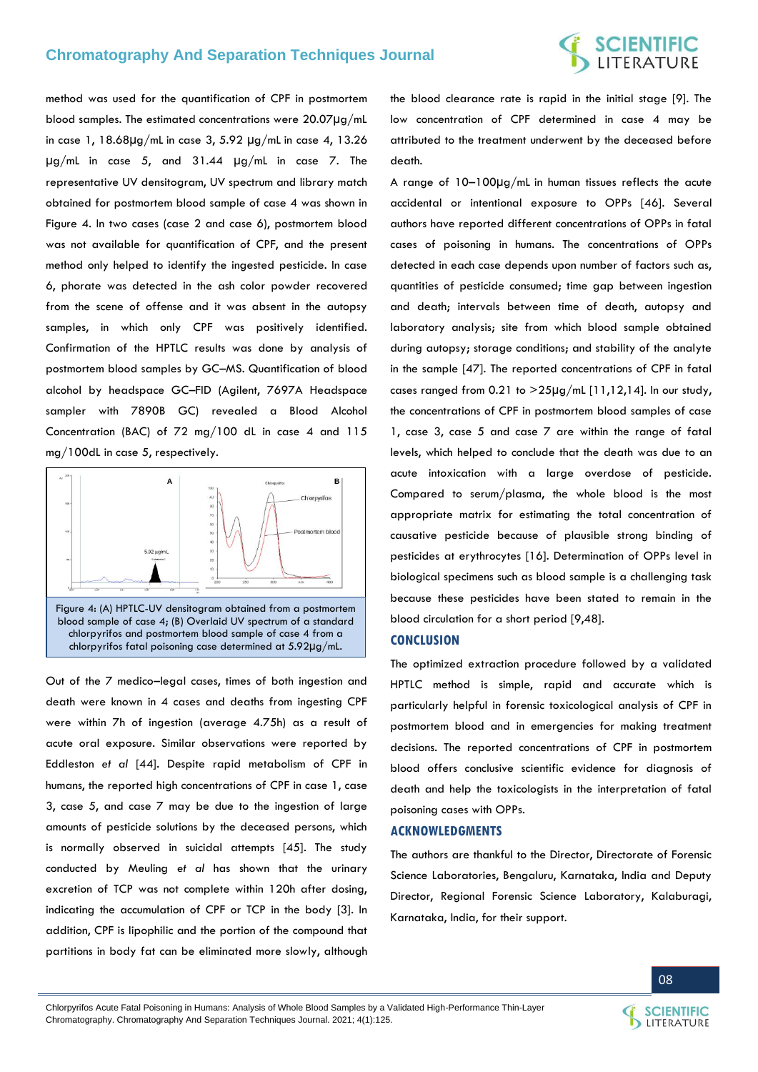# **SCIENTIFIC**<br>LITERATURE

method was used for the quantification of CPF in postmortem blood samples. The estimated concentrations were 20.07µg/mL in case 1, 18.68µg/mL in case 3, 5.92 µg/mL in case 4, 13.26 µg/mL in case 5, and 31.44 µg/mL in case 7. The representative UV densitogram, UV spectrum and library match obtained for postmortem blood sample of case 4 was shown in Figure 4. In two cases (case 2 and case 6), postmortem blood was not available for quantification of CPF, and the present method only helped to identify the ingested pesticide. In case 6, phorate was detected in the ash color powder recovered from the scene of offense and it was absent in the autopsy samples, in which only CPF was positively identified. Confirmation of the HPTLC results was done by analysis of postmortem blood samples by GC–MS. Quantification of blood alcohol by headspace GC–FID (Agilent, 7697A Headspace sampler with 7890B GC) revealed a Blood Alcohol Concentration (BAC) of 72 mg/100 dL in case 4 and 115 mg/100dL in case 5, respectively.



Out of the 7 medico–legal cases, times of both ingestion and death were known in 4 cases and deaths from ingesting CPF were within 7h of ingestion (average 4.75h) as a result of acute oral exposure. Similar observations were reported by Eddleston *et al* [44]. Despite rapid metabolism of CPF in humans, the reported high concentrations of CPF in case 1, case 3, case 5, and case 7 may be due to the ingestion of large amounts of pesticide solutions by the deceased persons, which is normally observed in suicidal attempts [45]. The study conducted by Meuling *et al* has shown that the urinary excretion of TCP was not complete within 120h after dosing, indicating the accumulation of CPF or TCP in the body [3]. In addition, CPF is lipophilic and the portion of the compound that partitions in body fat can be eliminated more slowly, although

the blood clearance rate is rapid in the initial stage [9]. The low concentration of CPF determined in case 4 may be attributed to the treatment underwent by the deceased before death.

A range of 10–100µg/mL in human tissues reflects the acute accidental or intentional exposure to OPPs [46]. Several authors have reported different concentrations of OPPs in fatal cases of poisoning in humans. The concentrations of OPPs detected in each case depends upon number of factors such as, quantities of pesticide consumed; time gap between ingestion and death; intervals between time of death, autopsy and laboratory analysis; site from which blood sample obtained during autopsy; storage conditions; and stability of the analyte in the sample [47]. The reported concentrations of CPF in fatal cases ranged from 0.21 to  $>$ 25 $\mu$ g/mL [11,12,14]. In our study, the concentrations of CPF in postmortem blood samples of case 1, case 3, case 5 and case 7 are within the range of fatal levels, which helped to conclude that the death was due to an acute intoxication with a large overdose of pesticide. Compared to serum/plasma, the whole blood is the most appropriate matrix for estimating the total concentration of causative pesticide because of plausible strong binding of pesticides at erythrocytes [16]. Determination of OPPs level in biological specimens such as blood sample is a challenging task because these pesticides have been stated to remain in the blood circulation for a short period [9,48].

#### **CONCLUSION**

The optimized extraction procedure followed by a validated HPTLC method is simple, rapid and accurate which is particularly helpful in forensic toxicological analysis of CPF in postmortem blood and in emergencies for making treatment decisions. The reported concentrations of CPF in postmortem blood offers conclusive scientific evidence for diagnosis of death and help the toxicologists in the interpretation of fatal poisoning cases with OPPs.

#### **ACKNOWLEDGMENTS**

The authors are thankful to the Director, Directorate of Forensic Science Laboratories, Bengaluru, Karnataka, India and Deputy Director, Regional Forensic Science Laboratory, Kalaburagi, Karnataka, India, for their support.

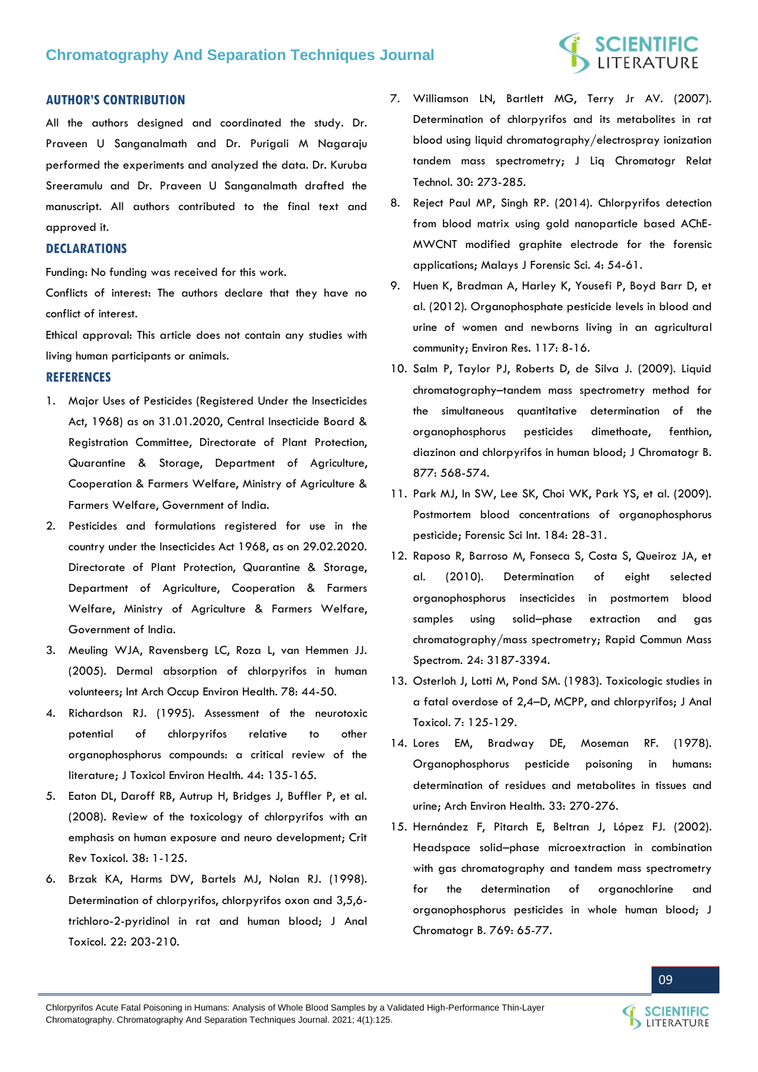# **SCIENTIFIC**<br>LITERATURE

### **AUTHOR'S CONTRIBUTION**

All the authors designed and coordinated the study. Dr. Praveen U Sanganalmath and Dr. Purigali M Nagaraju performed the experiments and analyzed the data. Dr. Kuruba Sreeramulu and Dr. Praveen U Sanganalmath drafted the manuscript. All authors contributed to the final text and approved it.

#### **DECLARATIONS**

Funding: No funding was received for this work.

Conflicts of interest: The authors declare that they have no conflict of interest.

Ethical approval: This article does not contain any studies with living human participants or animals.

### **REFERENCES**

- 1. [Major Uses of Pesticides \(Registered Under the Insecticides](http://ppqs.gov.in/sites/default/files/approved_use_of_insecticides.pdf)  [Act, 1968\) as on 31.01.2020, Central Insecticide Board &](http://ppqs.gov.in/sites/default/files/approved_use_of_insecticides.pdf)  [Registration Committee, Directorate of Plant Protection,](http://ppqs.gov.in/sites/default/files/approved_use_of_insecticides.pdf)  [Quarantine & Storage, Department of Agriculture,](http://ppqs.gov.in/sites/default/files/approved_use_of_insecticides.pdf)  [Cooperation & Farmers Welfare, Ministry of Agriculture &](http://ppqs.gov.in/sites/default/files/approved_use_of_insecticides.pdf)  [Farmers Welfare, Government of India.](http://ppqs.gov.in/sites/default/files/approved_use_of_insecticides.pdf)
- 2. [Pesticides and formulations registered for use in the](http://ppqs.gov.in/sites/default/files/approved_use_of_insecticides.pdf)  [country under the Insecticides Act 1968, as on 29.02.2020.](http://ppqs.gov.in/sites/default/files/approved_use_of_insecticides.pdf)  [Directorate of Plant Protection, Quarantine & Storage,](http://ppqs.gov.in/sites/default/files/approved_use_of_insecticides.pdf)  [Department of Agriculture, Cooperation & Farmers](http://ppqs.gov.in/sites/default/files/approved_use_of_insecticides.pdf)  [Welfare, Ministry of Agriculture & Farmers Welfare,](http://ppqs.gov.in/sites/default/files/approved_use_of_insecticides.pdf)  [Government of India.](http://ppqs.gov.in/sites/default/files/approved_use_of_insecticides.pdf)
- 3. [Meuling WJA, Ravensberg LC, Roza L, van Hemmen JJ.](https://pubmed.ncbi.nlm.nih.gov/15627216/)  [\(2005\). Dermal absorption of chlorpyrifos in human](https://pubmed.ncbi.nlm.nih.gov/15627216/)  [volunteers; Int Arch Occup Environ Health. 78: 44-50.](https://pubmed.ncbi.nlm.nih.gov/15627216/)
- 4. [Richardson RJ. \(1995\). Assessment of the neurotoxic](https://pubmed.ncbi.nlm.nih.gov/7531775/)  [potential of chlorpyrifos relative to other](https://pubmed.ncbi.nlm.nih.gov/7531775/)  [organophosphorus compounds: a critical review of the](https://pubmed.ncbi.nlm.nih.gov/7531775/)  [literature; J Toxicol Environ Health. 44: 135-165.](https://pubmed.ncbi.nlm.nih.gov/7531775/)
- 5. [Eaton DL, Daroff RB, Autrup H, Bridges J, Buffler P, et al.](https://pubmed.ncbi.nlm.nih.gov/18726789/)  [\(2008\). Review of the toxicology of chlorpyrifos with an](https://pubmed.ncbi.nlm.nih.gov/18726789/)  [emphasis on human exposure and neuro development; Crit](https://pubmed.ncbi.nlm.nih.gov/18726789/)  [Rev Toxicol. 38: 1-125.](https://pubmed.ncbi.nlm.nih.gov/18726789/)
- 6. [Brzak KA, Harms DW, Bartels MJ, Nolan RJ. \(1998\).](https://pubmed.ncbi.nlm.nih.gov/9602936/)  [Determination of chlorpyrifos, chlorpyrifos oxon and 3,5,6](https://pubmed.ncbi.nlm.nih.gov/9602936/) [trichloro-2-pyridinol in rat and human blood; J Anal](https://pubmed.ncbi.nlm.nih.gov/9602936/)  [Toxicol. 22: 203-210.](https://pubmed.ncbi.nlm.nih.gov/9602936/)
- 7. [Williamson LN, Bartlett MG, Terry Jr AV. \(2007\).](https://www.tandfonline.com/doi/abs/10.1080/10826070601064573)  [Determination of chlorpyrifos and its metabolites in rat](https://www.tandfonline.com/doi/abs/10.1080/10826070601064573)  [blood using liquid chromatography/electrospray ionization](https://www.tandfonline.com/doi/abs/10.1080/10826070601064573)  [tandem mass spectrometry; J Liq Chromatogr Relat](https://www.tandfonline.com/doi/abs/10.1080/10826070601064573)  [Technol. 30: 273-285.](https://www.tandfonline.com/doi/abs/10.1080/10826070601064573)
- 8. [Reject Paul MP, Singh RP. \(2014\). Chlorpyrifos detection](http://forensics.org.my/mjofs/pdf/fssmVol.4No.1/Article9.pdf)  [from blood matrix using gold nanoparticle based AChE-](http://forensics.org.my/mjofs/pdf/fssmVol.4No.1/Article9.pdf)[MWCNT modified graphite electrode for the forensic](http://forensics.org.my/mjofs/pdf/fssmVol.4No.1/Article9.pdf)  [applications; Malays J Forensic Sci. 4: 54-61.](http://forensics.org.my/mjofs/pdf/fssmVol.4No.1/Article9.pdf)
- 9. [Huen K, Bradman A, Harley K, Yousefi P, Boyd Barr D, et](https://pubmed.ncbi.nlm.nih.gov/22683313/)  [al. \(2012\). Organophosphate pesticide levels in blood and](https://pubmed.ncbi.nlm.nih.gov/22683313/)  [urine of women and newborns living in an agricultural](https://pubmed.ncbi.nlm.nih.gov/22683313/)  [community; Environ Res. 117: 8-16.](https://pubmed.ncbi.nlm.nih.gov/22683313/)
- 10. [Salm P, Taylor PJ, Roberts D, de Silva J. \(2009\). Liquid](https://pubmed.ncbi.nlm.nih.gov/19167275/)  chromatography–[tandem mass spectrometry method for](https://pubmed.ncbi.nlm.nih.gov/19167275/)  [the simultaneous quantitative determination of the](https://pubmed.ncbi.nlm.nih.gov/19167275/)  [organophosphorus pesticides dimethoate, fenthion,](https://pubmed.ncbi.nlm.nih.gov/19167275/)  [diazinon and chlorpyrifos in human blood; J Chromatogr B.](https://pubmed.ncbi.nlm.nih.gov/19167275/)  [877: 568-574.](https://pubmed.ncbi.nlm.nih.gov/19167275/)
- 11. [Park MJ, In SW, Lee SK, Choi WK, Park YS, et al. \(2009\).](https://pubmed.ncbi.nlm.nih.gov/19117706/)  [Postmortem blood concentrations of organophosphorus](https://pubmed.ncbi.nlm.nih.gov/19117706/)  [pesticide; Forensic Sci Int. 184: 28-31.](https://pubmed.ncbi.nlm.nih.gov/19117706/)
- 12. [Raposo R, Barroso M, Fonseca S, Costa S, Queiroz JA, et](https://pubmed.ncbi.nlm.nih.gov/20941767/)  [al. \(2010\). Determination of eight selected](https://pubmed.ncbi.nlm.nih.gov/20941767/)  [organophosphorus insecticides in postmortem blood](https://pubmed.ncbi.nlm.nih.gov/20941767/)  samples using solid–[phase extraction and gas](https://pubmed.ncbi.nlm.nih.gov/20941767/)  [chromatography/mass spectrometry; Rapid Commun Mass](https://pubmed.ncbi.nlm.nih.gov/20941767/)  [Spectrom. 24: 3187-3394.](https://pubmed.ncbi.nlm.nih.gov/20941767/)
- 13. [Osterloh J, Lotti M, Pond SM. \(1983\).](https://pubmed.ncbi.nlm.nih.gov/6193335/) Toxicologic studies in a fatal overdose of 2,4–[D, MCPP, and chlorpyrifos; J Anal](https://pubmed.ncbi.nlm.nih.gov/6193335/)  [Toxicol. 7: 125-129.](https://pubmed.ncbi.nlm.nih.gov/6193335/)
- 14. [Lores EM, Bradway DE, Moseman RF. \(1978\).](https://pubmed.ncbi.nlm.nih.gov/81664/)  [Organophosphorus pesticide poisoning in humans:](https://pubmed.ncbi.nlm.nih.gov/81664/)  [determination of residues and metabolites in tissues and](https://pubmed.ncbi.nlm.nih.gov/81664/)  [urine; Arch Environ Health. 33: 270-276.](https://pubmed.ncbi.nlm.nih.gov/81664/)
- 15. [Hernández F, Pitarch E, Beltran J, López FJ. \(2002\).](https://pubmed.ncbi.nlm.nih.gov/11936696/)  Headspace solid–[phase microextraction in combination](https://pubmed.ncbi.nlm.nih.gov/11936696/)  [with gas chromatography and tandem mass spectrometry](https://pubmed.ncbi.nlm.nih.gov/11936696/)  [for the determination of organochlorine and](https://pubmed.ncbi.nlm.nih.gov/11936696/)  [organophosphorus pesticides in whole human blood; J](https://pubmed.ncbi.nlm.nih.gov/11936696/)  [Chromatogr B. 769: 65-77.](https://pubmed.ncbi.nlm.nih.gov/11936696/)

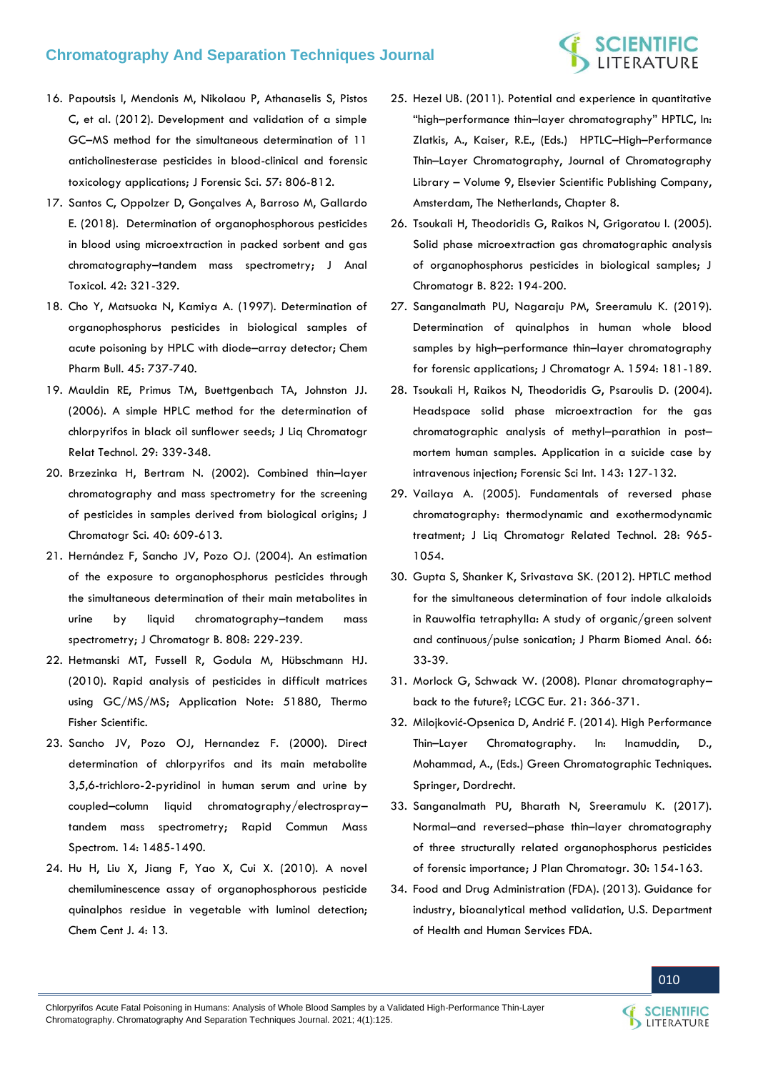# **SCIENTIFIC**<br>LITERATURE

- 16. [Papoutsis I, Mendonis M, Nikolaou P, Athanaselis S, Pistos](https://pubmed.ncbi.nlm.nih.gov/22221006/)  [C, et al. \(2012\). Development and validation of a simple](https://pubmed.ncbi.nlm.nih.gov/22221006/)  GC–[MS method for the simultaneous determination of 11](https://pubmed.ncbi.nlm.nih.gov/22221006/)  [anticholinesterase pesticides in blood-clinical and forensic](https://pubmed.ncbi.nlm.nih.gov/22221006/)  [toxicology applications; J Forensic Sci. 57: 806-812.](https://pubmed.ncbi.nlm.nih.gov/22221006/)
- 17. [Santos C, Oppolzer D, Gonçalves A, Barroso M, Gallardo](https://pubmed.ncbi.nlm.nih.gov/29373695/)  [E. \(2018\). Determination of organophosphorous pesticides](https://pubmed.ncbi.nlm.nih.gov/29373695/)  [in blood using microextraction in packed sorbent and gas](https://pubmed.ncbi.nlm.nih.gov/29373695/)  chromatography–[tandem mass spectrometry; J Anal](https://pubmed.ncbi.nlm.nih.gov/29373695/)  [Toxicol. 42: 321-329.](https://pubmed.ncbi.nlm.nih.gov/29373695/)
- 18. [Cho Y, Matsuoka N, Kamiya A. \(1997\). Determination of](https://pubmed.ncbi.nlm.nih.gov/9145509/)  [organophosphorus pesticides in biological samples of](https://pubmed.ncbi.nlm.nih.gov/9145509/)  [acute poisoning by HPLC with diode](https://pubmed.ncbi.nlm.nih.gov/9145509/)–array detector; Chem [Pharm Bull. 45: 737-740.](https://pubmed.ncbi.nlm.nih.gov/9145509/)
- 19. [Mauldin RE, Primus TM, Buettgenbach TA, Johnston JJ.](https://digitalcommons.unl.edu/cgi/viewcontent.cgi?article=1419&context=icwdm_usdanwrc)  [\(2006\). A simple HPLC method for the determination of](https://digitalcommons.unl.edu/cgi/viewcontent.cgi?article=1419&context=icwdm_usdanwrc)  [chlorpyrifos in black oil sunflower seeds; J Liq Chromatogr](https://digitalcommons.unl.edu/cgi/viewcontent.cgi?article=1419&context=icwdm_usdanwrc)  [Relat Technol. 29: 339-348.](https://digitalcommons.unl.edu/cgi/viewcontent.cgi?article=1419&context=icwdm_usdanwrc)
- 20. [Brzezinka H, Bertram N. \(2002\). Combined thin](https://pubmed.ncbi.nlm.nih.gov/12515366/)–layer [chromatography and mass spectrometry for the screening](https://pubmed.ncbi.nlm.nih.gov/12515366/)  [of pesticides in samples derived from biological origins; J](https://pubmed.ncbi.nlm.nih.gov/12515366/)  [Chromatogr Sci. 40: 609-613.](https://pubmed.ncbi.nlm.nih.gov/12515366/)
- 21. [Hernández F, Sancho JV, Pozo OJ. \(2004\). An estimation](https://pubmed.ncbi.nlm.nih.gov/15261816/)  [of the exposure to organophosphorus pesticides through](https://pubmed.ncbi.nlm.nih.gov/15261816/)  [the simultaneous determination of their main metabolites in](https://pubmed.ncbi.nlm.nih.gov/15261816/)  [urine by liquid chromatography](https://pubmed.ncbi.nlm.nih.gov/15261816/)–tandem mass [spectrometry; J Chromatogr B. 808: 229-239.](https://pubmed.ncbi.nlm.nih.gov/15261816/)
- 22. [Hetmanski MT, Fussell R, Godula M, Hübschmann HJ.](https://assets.thermofisher.com/TFS-Assets/CMD/Application-Notes/rapid-analysis-of-pesticides-in-difficult-matrices-using-gcmsms.pdf)  [\(2010\). Rapid analysis of pesticides in difficult matrices](https://assets.thermofisher.com/TFS-Assets/CMD/Application-Notes/rapid-analysis-of-pesticides-in-difficult-matrices-using-gcmsms.pdf)  [using GC/MS/MS; Application Note: 51880, Thermo](https://assets.thermofisher.com/TFS-Assets/CMD/Application-Notes/rapid-analysis-of-pesticides-in-difficult-matrices-using-gcmsms.pdf)  [Fisher Scientific.](https://assets.thermofisher.com/TFS-Assets/CMD/Application-Notes/rapid-analysis-of-pesticides-in-difficult-matrices-using-gcmsms.pdf)
- 23. [Sancho JV, Pozo OJ, Hernandez F. \(2000\). Direct](https://pubmed.ncbi.nlm.nih.gov/10931542/)  [determination of chlorpyrifos and its main metabolite](https://pubmed.ncbi.nlm.nih.gov/10931542/)  [3,5,6-trichloro-2-pyridinol in human serum and urine by](https://pubmed.ncbi.nlm.nih.gov/10931542/)  coupled–[column liquid chromatography/electrospray](https://pubmed.ncbi.nlm.nih.gov/10931542/)– [tandem mass spectrometry; Rapid Commun Mass](https://pubmed.ncbi.nlm.nih.gov/10931542/)  [Spectrom. 14: 1485-1490.](https://pubmed.ncbi.nlm.nih.gov/10931542/)
- 24. [Hu H, Liu X, Jiang F, Yao X, Cui X. \(2010\). A novel](https://pubmed.ncbi.nlm.nih.gov/20576096/)  [chemiluminescence assay of organophosphorous pesticide](https://pubmed.ncbi.nlm.nih.gov/20576096/)  quinalphos residue in [vegetable with luminol detection;](https://pubmed.ncbi.nlm.nih.gov/20576096/)  [Chem Cent J. 4: 13.](https://pubmed.ncbi.nlm.nih.gov/20576096/)
- 25. Hezel UB. (2011). Potential and experience in quantitative "high–performance thin–layer chromatography" HPTLC, In: Zlatkis, A., Kaiser, R.E., (Eds.) HPTLC–High–Performance Thin–Layer Chromatography, Journal of Chromatography Library – Volume 9, Elsevier Scientific Publishing Company, Amsterdam, The Netherlands, Chapter 8.
- 26. [Tsoukali H, Theodoridis G, Raikos N, Grigoratou I. \(2005\).](https://pubmed.ncbi.nlm.nih.gov/15990372/)  [Solid phase microextraction gas chromatographic analysis](https://pubmed.ncbi.nlm.nih.gov/15990372/)  [of organophosphorus pesticides in biological samples; J](https://pubmed.ncbi.nlm.nih.gov/15990372/)  [Chromatogr B. 822: 194-200.](https://pubmed.ncbi.nlm.nih.gov/15990372/)
- 27. [Sanganalmath PU, Nagaraju PM, Sreeramulu K. \(2019\).](https://pubmed.ncbi.nlm.nih.gov/30745138/)  [Determination of quinalphos in human whole blood](https://pubmed.ncbi.nlm.nih.gov/30745138/)  samples by high–performance thin–[layer chromatography](https://pubmed.ncbi.nlm.nih.gov/30745138/)  [for forensic applications; J Chromatogr A. 1594: 181-189.](https://pubmed.ncbi.nlm.nih.gov/30745138/)
- 28. [Tsoukali H, Raikos N, Theodoridis G, Psaroulis D. \(2004\).](https://pubmed.ncbi.nlm.nih.gov/15240032/)  [Headspace solid phase microextraction for the gas](https://pubmed.ncbi.nlm.nih.gov/15240032/)  [chromatographic analysis of methyl](https://pubmed.ncbi.nlm.nih.gov/15240032/)–parathion in post– [mortem human samples. Application in a suicide case by](https://pubmed.ncbi.nlm.nih.gov/15240032/)  [intravenous injection; Forensic Sci Int. 143: 127-132.](https://pubmed.ncbi.nlm.nih.gov/15240032/)
- 29. [Vailaya A. \(2005\). Fundamentals of reversed phase](https://www.tandfonline.com/doi/abs/10.1081/JLC-200052969)  [chromatography: thermodynamic and exothermodynamic](https://www.tandfonline.com/doi/abs/10.1081/JLC-200052969)  [treatment; J Liq Chromatogr Related Technol. 28: 965-](https://www.tandfonline.com/doi/abs/10.1081/JLC-200052969) [1054.](https://www.tandfonline.com/doi/abs/10.1081/JLC-200052969)
- 30. [Gupta S, Shanker K, Srivastava SK. \(2012\). HPTLC method](https://pubmed.ncbi.nlm.nih.gov/22464556/)  [for the simultaneous determination of four indole alkaloids](https://pubmed.ncbi.nlm.nih.gov/22464556/)  [in Rauwolfia tetraphylla: A study of organic/green solvent](https://pubmed.ncbi.nlm.nih.gov/22464556/)  [and continuous/pulse sonication; J Pharm Biomed Anal. 66:](https://pubmed.ncbi.nlm.nih.gov/22464556/)  [33-39.](https://pubmed.ncbi.nlm.nih.gov/22464556/)
- 31. [Morlock G, Schwack W. \(2008\). Planar chromatography](https://www.chromatographyonline.com/view/planar-chromatography-back-future) [back to the future?; LCGC Eur. 21: 366-371.](https://www.chromatographyonline.com/view/planar-chromatography-back-future)
- 32. Milojković-[Opsenica D, Andrić F. \(2014\). High Performance](https://cherry.chem.bg.ac.rs/handle/123456789/292?locale-attribute=en)  Thin–[Layer Chromatography. In: Inamuddin, D.,](https://cherry.chem.bg.ac.rs/handle/123456789/292?locale-attribute=en)  [Mohammad, A., \(Eds.\) Green Chromatographic Techniques.](https://cherry.chem.bg.ac.rs/handle/123456789/292?locale-attribute=en)  [Springer, Dordrecht.](https://cherry.chem.bg.ac.rs/handle/123456789/292?locale-attribute=en)
- 33. Sanganalmath PU, Bharath N, Sreeramulu K. (2017). Normal–and reversed–phase thin–layer chromatography of three structurally related organophosphorus pesticides of forensic importance; J Plan Chromatogr. 30: 154-163.
- 34. Food and Drug Administration (FDA). (2013). Guidance for industry, bioanalytical method validation, U.S. Department of Health and Human Services FDA.



SCIENTIFIC

010